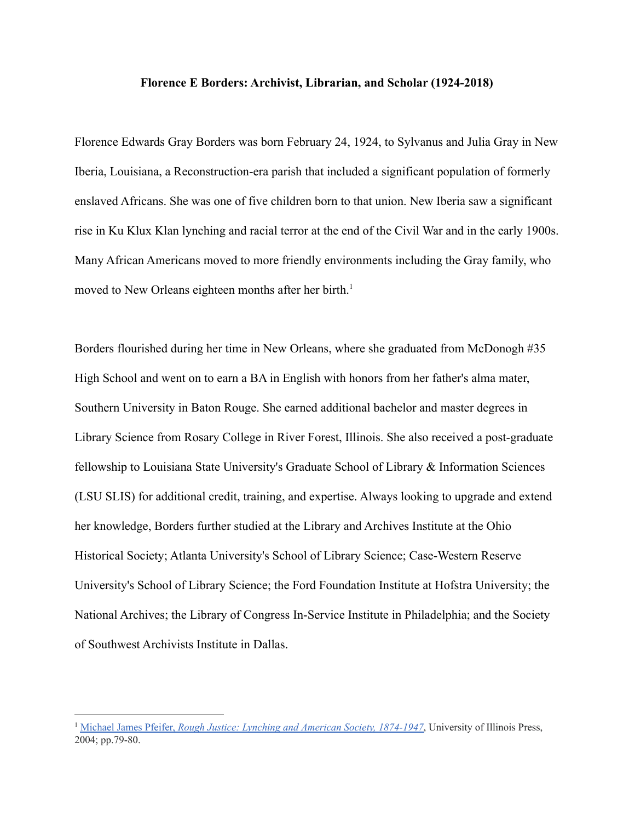## **Florence E Borders: Archivist, Librarian, and Scholar (1924-2018)**

Florence Edwards Gray Borders was born February 24, 1924, to Sylvanus and Julia Gray in New Iberia, Louisiana, a Reconstruction-era parish that included a significant population of formerly enslaved Africans. She was one of five children born to that union. New Iberia saw a significant rise in Ku Klux Klan lynching and racial terror at the end of the Civil War and in the early 1900s. Many African Americans moved to more friendly environments including the Gray family, who moved to New Orleans eighteen months after her birth.<sup>1</sup>

Borders flourished during her time in New Orleans, where she graduated from McDonogh #35 High School and went on to earn a BA in English with honors from her father's alma mater, Southern University in Baton Rouge. She earned additional bachelor and master degrees in Library Science from Rosary College in River Forest, Illinois. She also received a post-graduate fellowship to Louisiana State University's Graduate School of Library & Information Sciences (LSU SLIS) for additional credit, training, and expertise. Always looking to upgrade and extend her knowledge, Borders further studied at the Library and Archives Institute at the Ohio Historical Society; Atlanta University's School of Library Science; Case-Western Reserve University's School of Library Science; the Ford Foundation Institute at Hofstra University; the National Archives; the Library of Congress In-Service Institute in Philadelphia; and the Society of Southwest Archivists Institute in Dallas.

<sup>1</sup> Michael James Pfeifer, *Rough Justice: Lynching and American Society, 1874-1947*, University of Illinois Press, 2004; pp.79-80.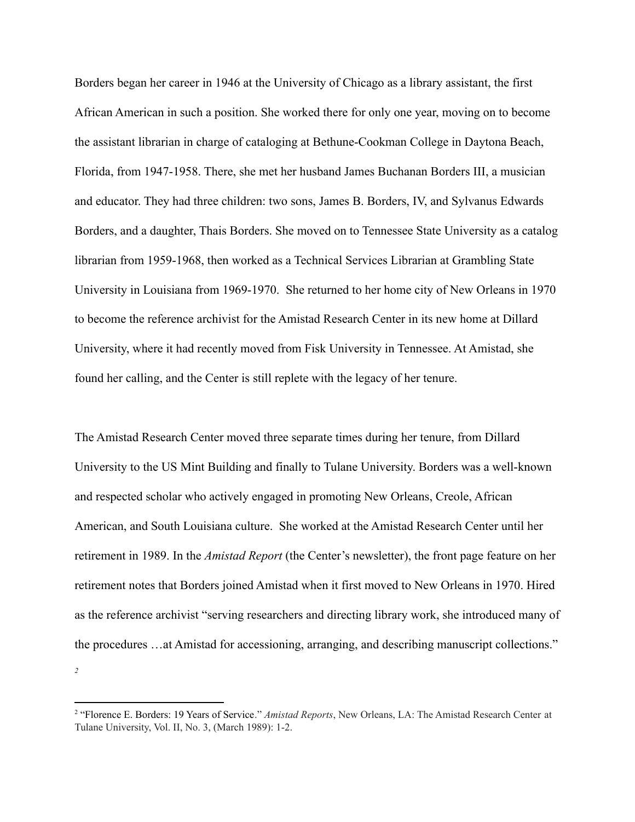Borders began her career in 1946 at the University of Chicago as a library assistant, the first African American in such a position. She worked there for only one year, moving on to become the assistant librarian in charge of cataloging at Bethune-Cookman College in Daytona Beach, Florida, from 1947-1958. There, she met her husband James Buchanan Borders III, a musician and educator. They had three children: two sons, James B. Borders, IV, and Sylvanus Edwards Borders, and a daughter, Thais Borders. She moved on to Tennessee State University as a catalog librarian from 1959-1968, then worked as a Technical Services Librarian at Grambling State University in Louisiana from 1969-1970. She returned to her home city of New Orleans in 1970 to become the reference archivist for the Amistad Research Center in its new home at Dillard University, where it had recently moved from Fisk University in Tennessee. At Amistad, she found her calling, and the Center is still replete with the legacy of her tenure.

The Amistad Research Center moved three separate times during her tenure, from Dillard University to the US Mint Building and finally to Tulane University. Borders was a well-known and respected scholar who actively engaged in promoting New Orleans, Creole, African American, and South Louisiana culture. She worked at the Amistad Research Center until her retirement in 1989. In the *Amistad Report* (the Center's newsletter), the front page feature on her retirement notes that Borders joined Amistad when it first moved to New Orleans in 1970. Hired as the reference archivist "serving researchers and directing library work, she introduced many of the procedures …at Amistad for accessioning, arranging, and describing manuscript collections." *2*

<sup>2</sup> "Florence E. Borders: 19 Years of Service." *Amistad Reports*, New Orleans, LA: The Amistad Research Center at Tulane University, Vol. II, No. 3, (March 1989): 1-2.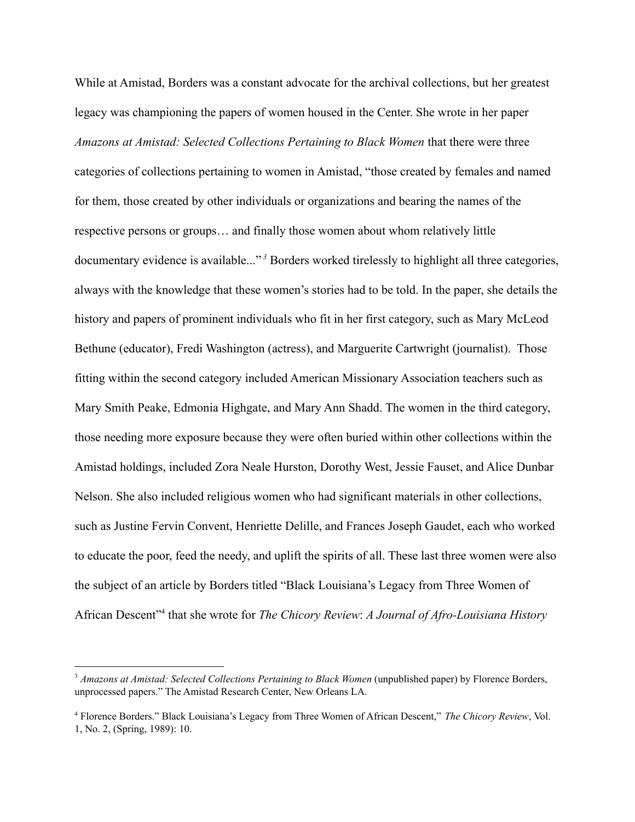While at Amistad, Borders was a constant advocate for the archival collections, but her greatest legacy was championing the papers of women housed in the Center. She wrote in her paper *Amazons at Amistad: Selected Collections Pertaining to Black Women* that there were three categories of collections pertaining to women in Amistad, "those created by females and named for them, those created by other individuals or organizations and bearing the names of the respective persons or groups… and finally those women about whom relatively little documentary evidence is available..."<sup>3</sup> Borders worked tirelessly to highlight all three categories, always with the knowledge that these women's stories had to be told. In the paper, she details the history and papers of prominent individuals who fit in her first category, such as Mary McLeod Bethune (educator), Fredi Washington (actress), and Marguerite Cartwright (journalist). Those fitting within the second category included American Missionary Association teachers such as Mary Smith Peake, Edmonia Highgate, and Mary Ann Shadd. The women in the third category, those needing more exposure because they were often buried within other collections within the Amistad holdings, included Zora Neale Hurston, Dorothy West, Jessie Fauset, and Alice Dunbar Nelson. She also included religious women who had significant materials in other collections, such as Justine Fervin Convent, Henriette Delille, and Frances Joseph Gaudet, each who worked to educate the poor, feed the needy, and uplift the spirits of all. These last three women were also the subject of an article by Borders titled "Black Louisiana's Legacy from Three Women of African Descent<sup>"4</sup> that she wrote for *The Chicory Review: A Journal of Afro-Louisiana History* 

<sup>3</sup> *Amazons at Amistad: Selected Collections Pertaining to Black Women* (unpublished paper) by Florence Borders, unprocessed papers." The Amistad Research Center, New Orleans LA.

<sup>4</sup> Florence Borders." Black Louisiana's Legacy from Three Women of African Descent," *The Chicory Review*, Vol. 1, No. 2, (Spring, 1989): 10.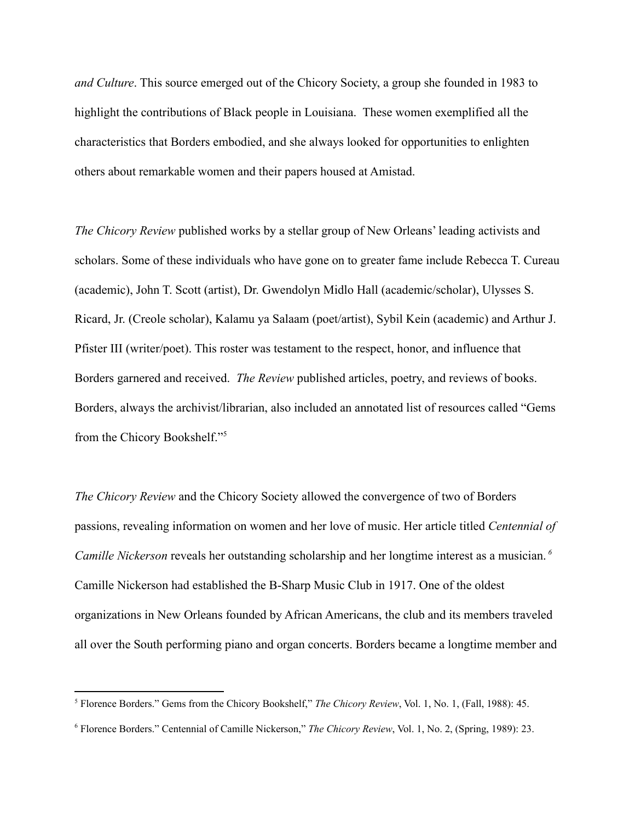*and Culture*. This source emerged out of the Chicory Society, a group she founded in 1983 to highlight the contributions of Black people in Louisiana. These women exemplified all the characteristics that Borders embodied, and she always looked for opportunities to enlighten others about remarkable women and their papers housed at Amistad.

*The Chicory Review* published works by a stellar group of New Orleans' leading activists and scholars. Some of these individuals who have gone on to greater fame include Rebecca T. Cureau (academic), John T. Scott (artist), Dr. Gwendolyn Midlo Hall (academic/scholar), Ulysses S. Ricard, Jr. (Creole scholar), Kalamu ya Salaam (poet/artist), Sybil Kein (academic) and Arthur J. Pfister III (writer/poet). This roster was testament to the respect, honor, and influence that Borders garnered and received. *The Review* published articles, poetry, and reviews of books. Borders, always the archivist/librarian, also included an annotated list of resources called "Gems from the Chicory Bookshelf."<sup>5</sup>

*The Chicory Review* and the Chicory Society allowed the convergence of two of Borders passions, revealing information on women and her love of music. Her article titled *Centennial of Camille Nickerson* reveals her outstanding scholarship and her longtime interest as a musician. *<sup>6</sup>* Camille Nickerson had established the B-Sharp Music Club in 1917. One of the oldest organizations in New Orleans founded by African Americans, the club and its members traveled all over the South performing piano and organ concerts. Borders became a longtime member and

<sup>5</sup> Florence Borders." Gems from the Chicory Bookshelf," *The Chicory Review*, Vol. 1, No. 1, (Fall, 1988): 45.

<sup>6</sup> Florence Borders." Centennial of Camille Nickerson," *The Chicory Review*, Vol. 1, No. 2, (Spring, 1989): 23.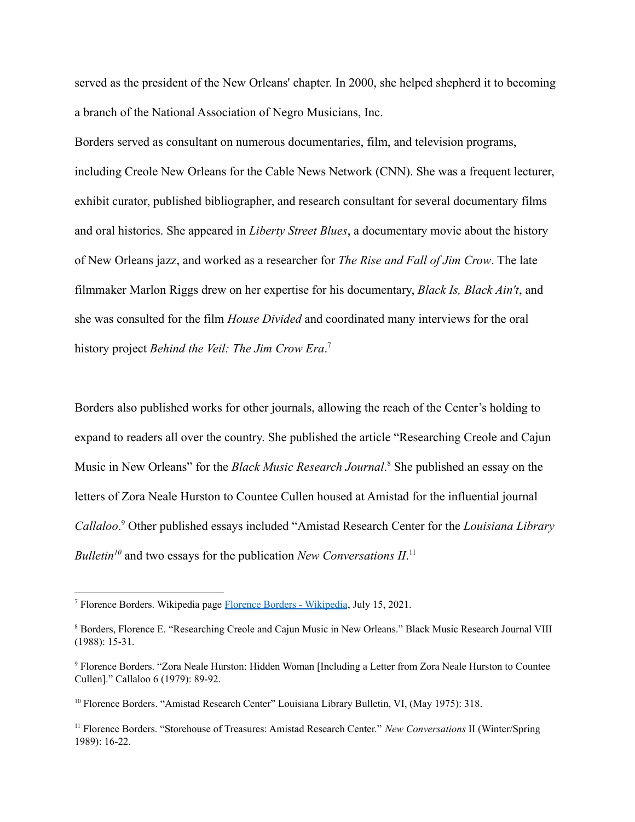served as the president of the New Orleans' chapter. In 2000, she helped shepherd it to becoming a branch of the National Association of Negro Musicians, Inc.

Borders served as consultant on numerous documentaries, film, and television programs, including Creole New Orleans for the Cable News Network (CNN). She was a frequent lecturer, exhibit curator, published bibliographer, and research consultant for several documentary films and oral histories. She appeared in *Liberty Street Blues*, a documentary movie about the history of New Orleans jazz, and worked as a researcher for *The Rise and Fall of Jim Crow*. The late filmmaker Marlon Riggs drew on her expertise for his documentary, *Black Is, Black Ain't*, and she was consulted for the film *House Divided* and coordinated many interviews for the oral history project *Behind the Veil: The Jim Crow Era*. 7

Borders also published works for other journals, allowing the reach of the Center's holding to expand to readers all over the country. She published the article "Researching Creole and Cajun Music in New Orleans" for the *Black Music Research Journal*.<sup>8</sup> She published an essay on the letters of Zora Neale Hurston to Countee Cullen housed at Amistad for the influential journal *Callaloo*.<sup>9</sup> Other published essays included "Amistad Research Center for the *Louisiana Library Bulletin*<sup>10</sup> and two essays for the publication *New Conversations*  $II$ <sup>11</sup>

<sup>&</sup>lt;sup>7</sup> Florence Borders. Wikipedia page **Florence Borders - Wikipedia**, July 15, 2021.

<sup>8</sup> Borders, Florence E. "Researching Creole and Cajun Music in New Orleans." Black Music Research Journal VIII (1988): 15-31.

<sup>9</sup> Florence Borders. "Zora Neale Hurston: Hidden Woman [Including a Letter from Zora Neale Hurston to Countee Cullen]." Callaloo 6 (1979): 89-92.

<sup>&</sup>lt;sup>10</sup> Florence Borders. "Amistad Research Center" Louisiana Library Bulletin, VI, (May 1975): 318.

<sup>11</sup> Florence Borders. "Storehouse of Treasures: Amistad Research Center." *New Conversations* II (Winter/Spring 1989): 16-22.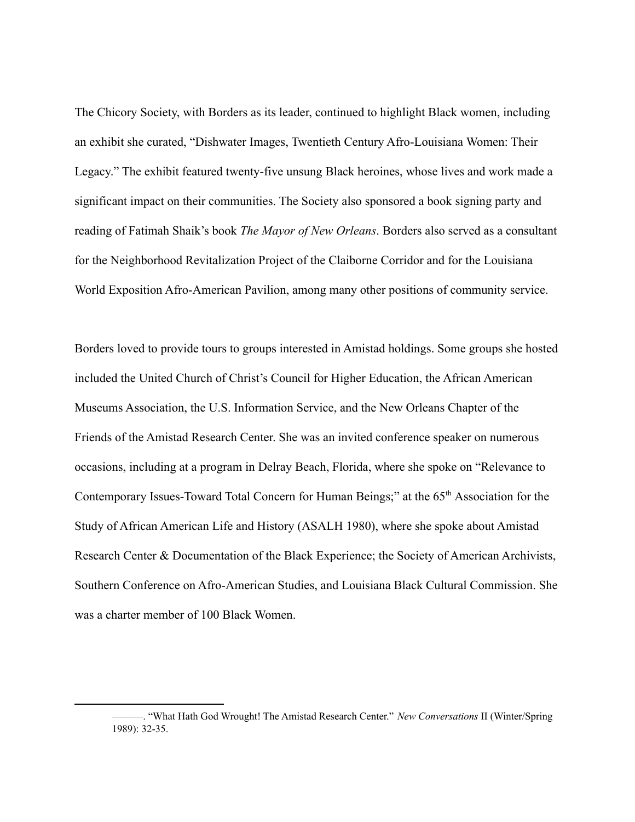The Chicory Society, with Borders as its leader, continued to highlight Black women, including an exhibit she curated, "Dishwater Images, Twentieth Century Afro-Louisiana Women: Their Legacy." The exhibit featured twenty-five unsung Black heroines, whose lives and work made a significant impact on their communities. The Society also sponsored a book signing party and reading of Fatimah Shaik's book *The Mayor of New Orleans*. Borders also served as a consultant for the Neighborhood Revitalization Project of the Claiborne Corridor and for the Louisiana World Exposition Afro-American Pavilion, among many other positions of community service.

Borders loved to provide tours to groups interested in Amistad holdings. Some groups she hosted included the United Church of Christ's Council for Higher Education, the African American Museums Association, the U.S. Information Service, and the New Orleans Chapter of the Friends of the Amistad Research Center. She was an invited conference speaker on numerous occasions, including at a program in Delray Beach, Florida, where she spoke on "Relevance to Contemporary Issues-Toward Total Concern for Human Beings;" at the 65<sup>th</sup> Association for the Study of African American Life and History (ASALH 1980), where she spoke about Amistad Research Center & Documentation of the Black Experience; the Society of American Archivists, Southern Conference on Afro-American Studies, and Louisiana Black Cultural Commission. She was a charter member of 100 Black Women.

<sup>———.</sup> "What Hath God Wrought! The Amistad Research Center." *New Conversations* II (Winter/Spring 1989): 32-35.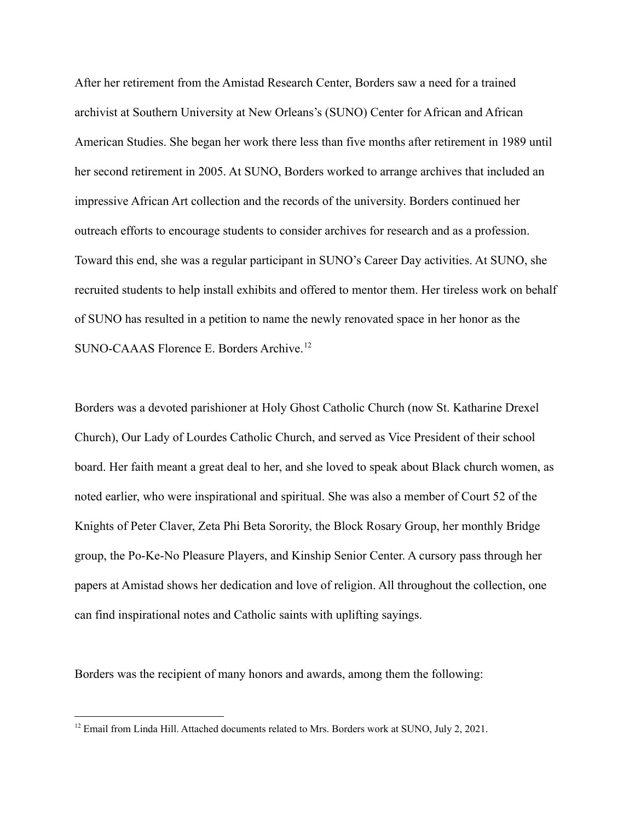After her retirement from the Amistad Research Center, Borders saw a need for a trained archivist at Southern University at New Orleans's (SUNO) Center for African and African American Studies. She began her work there less than five months after retirement in 1989 until her second retirement in 2005. At SUNO, Borders worked to arrange archives that included an impressive African Art collection and the records of the university. Borders continued her outreach efforts to encourage students to consider archives for research and as a profession. Toward this end, she was a regular participant in SUNO's Career Day activities. At SUNO, she recruited students to help install exhibits and offered to mentor them. Her tireless work on behalf of SUNO has resulted in a petition to name the newly renovated space in her honor as the SUNO-CAAAS Florence E. Borders Archive.<sup>12</sup>

Borders was a devoted parishioner at Holy Ghost Catholic Church (now St. Katharine Drexel Church), Our Lady of Lourdes Catholic Church, and served as Vice President of their school board. Her faith meant a great deal to her, and she loved to speak about Black church women, as noted earlier, who were inspirational and spiritual. She was also a member of Court 52 of the Knights of Peter Claver, Zeta Phi Beta Sorority, the Block Rosary Group, her monthly Bridge group, the Po-Ke-No Pleasure Players, and Kinship Senior Center. A cursory pass through her papers at Amistad shows her dedication and love of religion. All throughout the collection, one can find inspirational notes and Catholic saints with uplifting sayings.

Borders was the recipient of many honors and awards, among them the following:

<sup>&</sup>lt;sup>12</sup> Email from Linda Hill. Attached documents related to Mrs. Borders work at SUNO, July 2, 2021.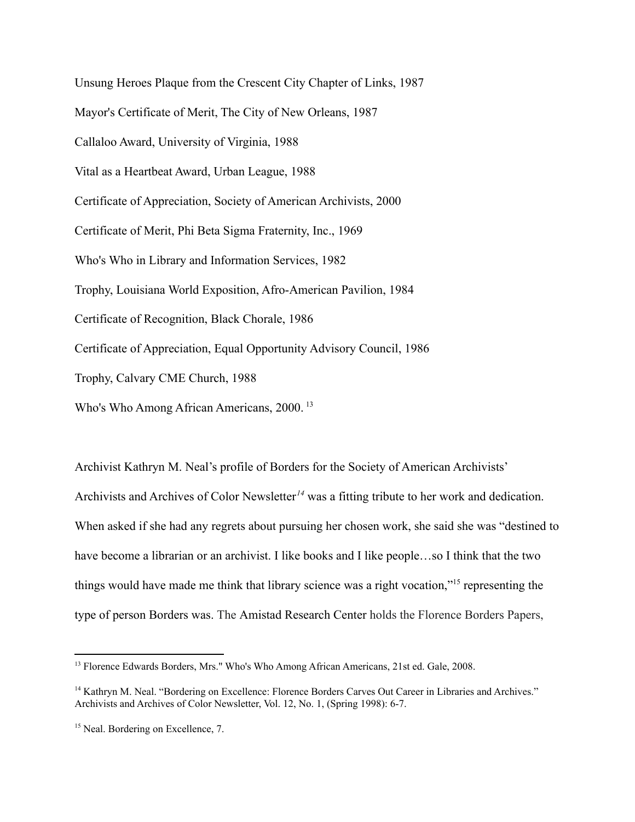Unsung Heroes Plaque from the Crescent City Chapter of Links, 1987 Mayor's Certificate of Merit, The City of New Orleans, 1987 Callaloo Award, University of Virginia, 1988 Vital as a Heartbeat Award, Urban League, 1988 Certificate of Appreciation, Society of American Archivists, 2000 Certificate of Merit, Phi Beta Sigma Fraternity, Inc., 1969 Who's Who in Library and Information Services, 1982 Trophy, Louisiana World Exposition, Afro-American Pavilion, 1984 Certificate of Recognition, Black Chorale, 1986 Certificate of Appreciation, Equal Opportunity Advisory Council, 1986 Trophy, Calvary CME Church, 1988 Who's Who Among African Americans, 2000.<sup>13</sup>

Archivist Kathryn M. Neal's profile of Borders for the Society of American Archivists' Archivists and Archives of Color Newsletter<sup>14</sup> was a fitting tribute to her work and dedication. When asked if she had any regrets about pursuing her chosen work, she said she was "destined to have become a librarian or an archivist. I like books and I like people...so I think that the two things would have made me think that library science was a right vocation,"<sup>15</sup> representing the type of person Borders was. The Amistad Research Center holds the Florence Borders Papers,

<sup>&</sup>lt;sup>13</sup> Florence Edwards Borders, Mrs." Who's Who Among African Americans, 21st ed. Gale, 2008.

<sup>&</sup>lt;sup>14</sup> Kathryn M. Neal. "Bordering on Excellence: Florence Borders Carves Out Career in Libraries and Archives." Archivists and Archives of Color Newsletter, Vol. 12, No. 1, (Spring 1998): 6-7.

<sup>&</sup>lt;sup>15</sup> Neal. Bordering on Excellence, 7.